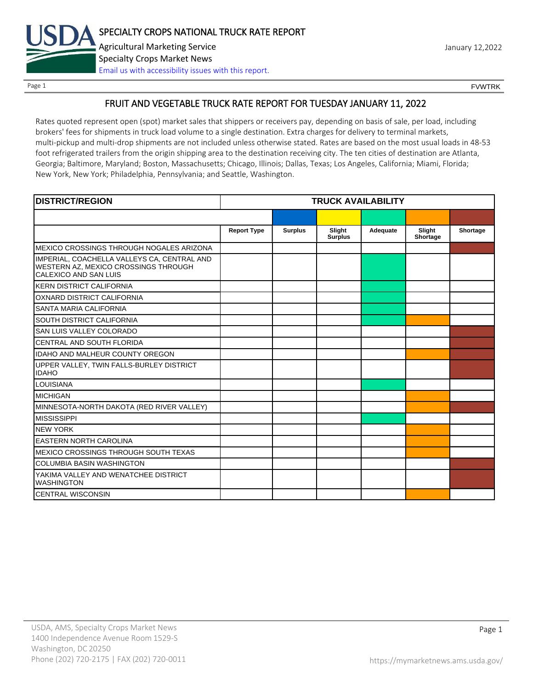

Page 1 FOUNTRK CONTROL CONTROL CONTROL CONTROL CONTROL CONTROL CONTROL CONTROL CONTROL CONTROL CONTROL CONTROL CONTROL CONTROL CONTROL CONTROL CONTROL CONTROL CONTROL CONTROL CONTROL CONTROL CONTROL CONTROL CONTROL CONTROL

# FRUIT AND VEGETABLE TRUCK RATE REPORT FOR TUESDAY JANUARY 11, 2022

Rates quoted represent open (spot) market sales that shippers or receivers pay, depending on basis of sale, per load, including brokers' fees for shipments in truck load volume to a single destination. Extra charges for delivery to terminal markets, multi-pickup and multi-drop shipments are not included unless otherwise stated. Rates are based on the most usual loads in 48-53 foot refrigerated trailers from the origin shipping area to the destination receiving city. The ten cities of destination are Atlanta, Georgia; Baltimore, Maryland; Boston, Massachusetts; Chicago, Illinois; Dallas, Texas; Los Angeles, California; Miami, Florida; New York, New York; Philadelphia, Pennsylvania; and Seattle, Washington.

| <b>DISTRICT/REGION</b>                                                                                       |                    |                | <b>TRUCK AVAILABILITY</b> |          |                    |          |
|--------------------------------------------------------------------------------------------------------------|--------------------|----------------|---------------------------|----------|--------------------|----------|
|                                                                                                              |                    |                |                           |          |                    |          |
|                                                                                                              | <b>Report Type</b> | <b>Surplus</b> | Slight<br><b>Surplus</b>  | Adequate | Slight<br>Shortage | Shortage |
| MEXICO CROSSINGS THROUGH NOGALES ARIZONA                                                                     |                    |                |                           |          |                    |          |
| IMPERIAL, COACHELLA VALLEYS CA, CENTRAL AND<br>WESTERN AZ, MEXICO CROSSINGS THROUGH<br>CALEXICO AND SAN LUIS |                    |                |                           |          |                    |          |
| <b>KERN DISTRICT CALIFORNIA</b>                                                                              |                    |                |                           |          |                    |          |
| OXNARD DISTRICT CALIFORNIA                                                                                   |                    |                |                           |          |                    |          |
| SANTA MARIA CALIFORNIA                                                                                       |                    |                |                           |          |                    |          |
| <b>SOUTH DISTRICT CALIFORNIA</b>                                                                             |                    |                |                           |          |                    |          |
| SAN LUIS VALLEY COLORADO                                                                                     |                    |                |                           |          |                    |          |
| CENTRAL AND SOUTH FLORIDA                                                                                    |                    |                |                           |          |                    |          |
| <b>IDAHO AND MALHEUR COUNTY OREGON</b>                                                                       |                    |                |                           |          |                    |          |
| UPPER VALLEY, TWIN FALLS-BURLEY DISTRICT<br><b>IDAHO</b>                                                     |                    |                |                           |          |                    |          |
| <b>LOUISIANA</b>                                                                                             |                    |                |                           |          |                    |          |
| <b>MICHIGAN</b>                                                                                              |                    |                |                           |          |                    |          |
| MINNESOTA-NORTH DAKOTA (RED RIVER VALLEY)                                                                    |                    |                |                           |          |                    |          |
| <b>MISSISSIPPI</b>                                                                                           |                    |                |                           |          |                    |          |
| <b>NEW YORK</b>                                                                                              |                    |                |                           |          |                    |          |
| <b>EASTERN NORTH CAROLINA</b>                                                                                |                    |                |                           |          |                    |          |
| MEXICO CROSSINGS THROUGH SOUTH TEXAS                                                                         |                    |                |                           |          |                    |          |
| <b>COLUMBIA BASIN WASHINGTON</b>                                                                             |                    |                |                           |          |                    |          |
| YAKIMA VALLEY AND WENATCHEE DISTRICT<br><b>WASHINGTON</b>                                                    |                    |                |                           |          |                    |          |
| <b>CENTRAL WISCONSIN</b>                                                                                     |                    |                |                           |          |                    |          |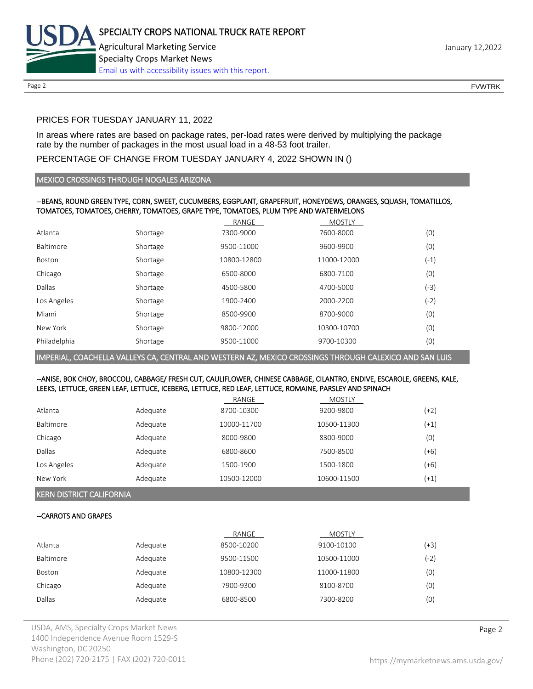

Page 2 FOUNTRK CONTROL CONTROL CONTROL CONTROL CONTROL CONTROL CONTROL CONTROL CONTROL CONTROL CONTROL CONTROL CONTROL CONTROL CONTROL CONTROL CONTROL CONTROL CONTROL CONTROL CONTROL CONTROL CONTROL CONTROL CONTROL CONTROL

# PRICES FOR TUESDAY JANUARY 11, 2022

In areas where rates are based on package rates, per-load rates were derived by multiplying the package rate by the number of packages in the most usual load in a 48-53 foot trailer.

# PERCENTAGE OF CHANGE FROM TUESDAY JANUARY 4, 2022 SHOWN IN ()

### MEXICO CROSSINGS THROUGH NOGALES ARIZONA

### --BEANS, ROUND GREEN TYPE, CORN, SWEET, CUCUMBERS, EGGPLANT, GRAPEFRUIT, HONEYDEWS, ORANGES, SQUASH, TOMATILLOS, TOMATOES, TOMATOES, CHERRY, TOMATOES, GRAPE TYPE, TOMATOES, PLUM TYPE AND WATERMELONS

|                  |          | RANGE       | <b>MOSTLY</b> |        |
|------------------|----------|-------------|---------------|--------|
| Atlanta          | Shortage | 7300-9000   | 7600-8000     | (0)    |
| <b>Baltimore</b> | Shortage | 9500-11000  | 9600-9900     | (0)    |
| Boston           | Shortage | 10800-12800 | 11000-12000   | $(-1)$ |
| Chicago          | Shortage | 6500-8000   | 6800-7100     | (0)    |
| Dallas           | Shortage | 4500-5800   | 4700-5000     | (-3)   |
| Los Angeles      | Shortage | 1900-2400   | 2000-2200     | (-2)   |
| Miami            | Shortage | 8500-9900   | 8700-9000     | (0)    |
| New York         | Shortage | 9800-12000  | 10300-10700   | (0)    |
| Philadelphia     | Shortage | 9500-11000  | 9700-10300    | (0)    |

IMPERIAL, COACHELLA VALLEYS CA, CENTRAL AND WESTERN AZ, MEXICO CROSSINGS THROUGH CALEXICO AND SAN LUIS

### --ANISE, BOK CHOY, BROCCOLI, CABBAGE/ FRESH CUT, CAULIFLOWER, CHINESE CABBAGE, CILANTRO, ENDIVE, ESCAROLE, GREENS, KALE, LEEKS, LETTUCE, GREEN LEAF, LETTUCE, ICEBERG, LETTUCE, RED LEAF, LETTUCE, ROMAINE, PARSLEY AND SPINACH

|                  |          | RANGE       | MOSTLY      |        |
|------------------|----------|-------------|-------------|--------|
| Atlanta          | Adequate | 8700-10300  | 9200-9800   | (+2)   |
| <b>Baltimore</b> | Adequate | 10000-11700 | 10500-11300 | $(+1)$ |
| Chicago          | Adequate | 8000-9800   | 8300-9000   | (0)    |
| Dallas           | Adequate | 6800-8600   | 7500-8500   | $(+6)$ |
| Los Angeles      | Adequate | 1500-1900   | 1500-1800   | $(+6)$ |
| New York         | Adequate | 10500-12000 | 10600-11500 | $(+1)$ |

KERN DISTRICT CALIFORNIA

# --CARROTS AND GRAPES

|               |          | RANGE       | <b>MOSTLY</b> |      |
|---------------|----------|-------------|---------------|------|
| Atlanta       | Adequate | 8500-10200  | 9100-10100    | (+3) |
| Baltimore     | Adequate | 9500-11500  | 10500-11000   | (-2) |
| <b>Boston</b> | Adequate | 10800-12300 | 11000-11800   | (0)  |
| Chicago       | Adequate | 7900-9300   | 8100-8700     | (0)  |
| Dallas        | Adequate | 6800-8500   | 7300-8200     | (0)  |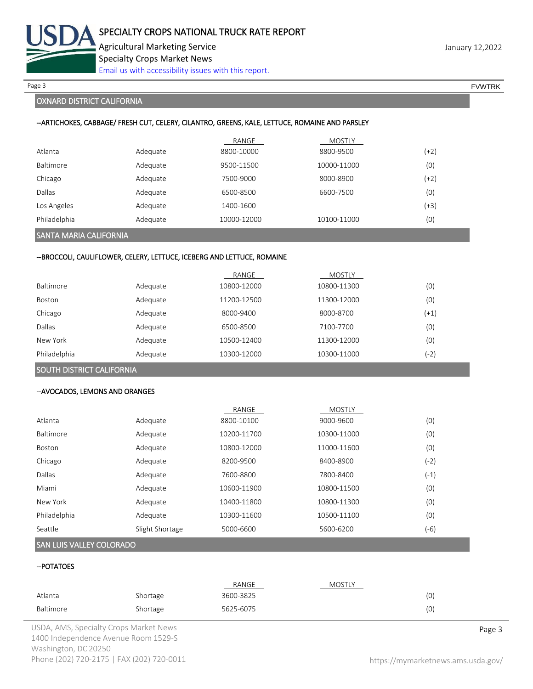

Page 3 FOUNTRK And the set of the set of the set of the set of the set of the set of the set of the set of the set of the set of the set of the set of the set of the set of the set of the set of the set of the set of the s

# OXNARD DISTRICT CALIFORNIA

### --ARTICHOKES, CABBAGE/ FRESH CUT, CELERY, CILANTRO, GREENS, KALE, LETTUCE, ROMAINE AND PARSLEY

|                  |          | RANGE       | <b>MOSTLY</b> |      |
|------------------|----------|-------------|---------------|------|
| Atlanta          | Adequate | 8800-10000  | 8800-9500     | (+2) |
| <b>Baltimore</b> | Adequate | 9500-11500  | 10000-11000   | (0)  |
| Chicago          | Adequate | 7500-9000   | 8000-8900     | (+2) |
| Dallas           | Adequate | 6500-8500   | 6600-7500     | (0)  |
| Los Angeles      | Adequate | 1400-1600   |               | (+3) |
| Philadelphia     | Adequate | 10000-12000 | 10100-11000   | (0)  |

# SANTA MARIA CALIFORNIA

### --BROCCOLI, CAULIFLOWER, CELERY, LETTUCE, ICEBERG AND LETTUCE, ROMAINE

|                  |          | RANGE       | <b>MOSTLY</b> |        |
|------------------|----------|-------------|---------------|--------|
| <b>Baltimore</b> | Adequate | 10800-12000 | 10800-11300   | (0)    |
| <b>Boston</b>    | Adequate | 11200-12500 | 11300-12000   | (0)    |
| Chicago          | Adequate | 8000-9400   | 8000-8700     | $(+1)$ |
| Dallas           | Adequate | 6500-8500   | 7100-7700     | (0)    |
| New York         | Adequate | 10500-12400 | 11300-12000   | (0)    |
| Philadelphia     | Adequate | 10300-12000 | 10300-11000   | (-2'   |

# SOUTH DISTRICT CALIFORNIA

### --AVOCADOS, LEMONS AND ORANGES

|                  |                 | RANGE       | <b>MOSTLY</b> |      |
|------------------|-----------------|-------------|---------------|------|
| Atlanta          | Adequate        | 8800-10100  | 9000-9600     | (0)  |
| <b>Baltimore</b> | Adequate        | 10200-11700 | 10300-11000   | (0)  |
| Boston           | Adequate        | 10800-12000 | 11000-11600   | (0)  |
| Chicago          | Adequate        | 8200-9500   | 8400-8900     | (-2) |
| Dallas           | Adequate        | 7600-8800   | 7800-8400     | (-1) |
| Miami            | Adequate        | 10600-11900 | 10800-11500   | (0)  |
| New York         | Adequate        | 10400-11800 | 10800-11300   | (0)  |
| Philadelphia     | Adequate        | 10300-11600 | 10500-11100   | (0)  |
| Seattle          | Slight Shortage | 5000-6600   | 5600-6200     | (-6) |

### SAN LUIS VALLEY COLORADO

# --POTATOES

|           |          | RANGE     | <b>MOSTLY</b> |     |
|-----------|----------|-----------|---------------|-----|
| Atlanta   | Shortage | 3600-3825 |               | (0) |
| Baltimore | Shortage | 5625-6075 |               | (0) |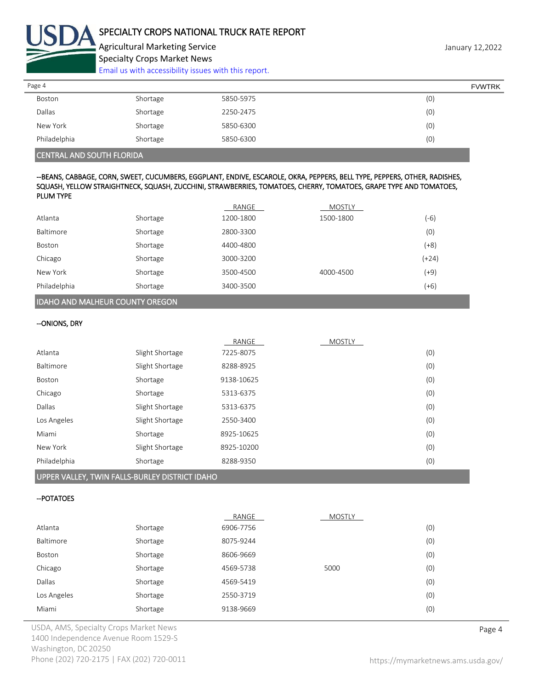

Agricultural Marketing Service **Agricultural Marketing Service** January 12,2022 Specialty Crops Market News

[Email us with accessibility issues with this report.](mailto:mars@ams.usda.gov?subject=508%20Inquiry/Report)

| Page 4       |          |           | <b>FVWTRK</b> |
|--------------|----------|-----------|---------------|
| Boston       | Shortage | 5850-5975 | (0)           |
| Dallas       | Shortage | 2250-2475 | (0)           |
| New York     | Shortage | 5850-6300 | (0)           |
| Philadelphia | Shortage | 5850-6300 | (0)           |

# CENTRAL AND SOUTH FLORIDA

## --BEANS, CABBAGE, CORN, SWEET, CUCUMBERS, EGGPLANT, ENDIVE, ESCAROLE, OKRA, PEPPERS, BELL TYPE, PEPPERS, OTHER, RADISHES, SQUASH, YELLOW STRAIGHTNECK, SQUASH, ZUCCHINI, STRAWBERRIES, TOMATOES, CHERRY, TOMATOES, GRAPE TYPE AND TOMATOES, PLUM TYPE

|                  |          | RANGE     | <b>MOSTLY</b> |         |
|------------------|----------|-----------|---------------|---------|
| Atlanta          | Shortage | 1200-1800 | 1500-1800     | (-6)    |
| <b>Baltimore</b> | Shortage | 2800-3300 |               | (0)     |
| Boston           | Shortage | 4400-4800 |               | $(+8)$  |
| Chicago          | Shortage | 3000-3200 |               | $(+24)$ |
| New York         | Shortage | 3500-4500 | 4000-4500     | $(+9)$  |
| Philadelphia     | Shortage | 3400-3500 |               | $(+6)$  |
|                  |          |           |               |         |

# IDAHO AND MALHEUR COUNTY OREGON

#### --ONIONS, DRY

|              |                 | RANGE      | <b>MOSTLY</b> |     |
|--------------|-----------------|------------|---------------|-----|
| Atlanta      | Slight Shortage | 7225-8075  |               | (0) |
| Baltimore    | Slight Shortage | 8288-8925  |               | (0) |
| Boston       | Shortage        | 9138-10625 |               | (0) |
| Chicago      | Shortage        | 5313-6375  |               | (0) |
| Dallas       | Slight Shortage | 5313-6375  |               | (0) |
| Los Angeles  | Slight Shortage | 2550-3400  |               | (0) |
| Miami        | Shortage        | 8925-10625 |               | (0) |
| New York     | Slight Shortage | 8925-10200 |               | (0) |
| Philadelphia | Shortage        | 8288-9350  |               | (0) |
|              |                 |            |               |     |

### UPPER VALLEY, TWIN FALLS-BURLEY DISTRICT IDAHO

### --POTATOES

|             |          | RANGE     | <b>MOSTLY</b> |     |
|-------------|----------|-----------|---------------|-----|
| Atlanta     | Shortage | 6906-7756 |               | (0) |
| Baltimore   | Shortage | 8075-9244 |               | (0) |
| Boston      | Shortage | 8606-9669 |               | (0) |
| Chicago     | Shortage | 4569-5738 | 5000          | (0) |
| Dallas      | Shortage | 4569-5419 |               | (0) |
| Los Angeles | Shortage | 2550-3719 |               | (0) |
| Miami       | Shortage | 9138-9669 |               | (0) |

USDA, AMS, Specialty Crops Market News **Page 4** 1400 Independence Avenue Room 1529-S Washington, DC 20250 Phone (202) 720-2175 | FAX (202) 720-0011 <https://mymarketnews.ams.usda.gov/>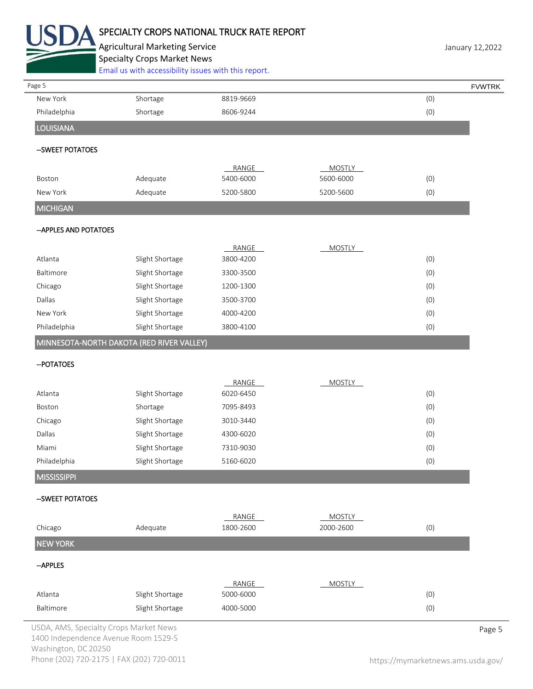

# SPECIALTY CROPS NATIONAL TRUCK RATE REPORT

Agricultural Marketing Service **Agricultural Marketing Service** January 12,2022 Specialty Crops Market News [Email us with accessibility issues with this report.](mailto:mars@ams.usda.gov?subject=508%20Inquiry/Report)

| Page 5                                    |                 |                    |                            |     | <b>FVWTRK</b> |
|-------------------------------------------|-----------------|--------------------|----------------------------|-----|---------------|
| New York                                  | Shortage        | 8819-9669          |                            | (0) |               |
| Philadelphia                              | Shortage        | 8606-9244          |                            | (0) |               |
| <b>LOUISIANA</b>                          |                 |                    |                            |     |               |
| -- SWEET POTATOES                         |                 |                    |                            |     |               |
| Boston                                    | Adequate        | RANGE<br>5400-6000 | MOSTLY<br>5600-6000        | (0) |               |
| New York                                  | Adequate        | 5200-5800          | 5200-5600                  | (0) |               |
| <b>MICHIGAN</b>                           |                 |                    |                            |     |               |
| -- APPLES AND POTATOES                    |                 |                    |                            |     |               |
|                                           |                 | RANGE              | <b>MOSTLY</b>              |     |               |
| Atlanta                                   | Slight Shortage | 3800-4200          |                            | (0) |               |
| Baltimore                                 | Slight Shortage | 3300-3500          |                            | (0) |               |
| Chicago                                   | Slight Shortage | 1200-1300          |                            | (0) |               |
| Dallas                                    | Slight Shortage | 3500-3700          |                            | (0) |               |
| New York                                  | Slight Shortage | 4000-4200          |                            | (0) |               |
| Philadelphia                              | Slight Shortage | 3800-4100          |                            | (0) |               |
| MINNESOTA-NORTH DAKOTA (RED RIVER VALLEY) |                 |                    |                            |     |               |
| -- POTATOES                               |                 |                    |                            |     |               |
|                                           |                 | RANGE              | <b>MOSTLY</b>              |     |               |
| Atlanta                                   | Slight Shortage | 6020-6450          |                            | (0) |               |
| Boston                                    | Shortage        | 7095-8493          |                            | (0) |               |
| Chicago                                   | Slight Shortage | 3010-3440          |                            | (0) |               |
| Dallas                                    | Slight Shortage | 4300-6020          |                            | (0) |               |
| Miami                                     | Slight Shortage | 7310-9030          |                            | (0) |               |
| Philadelphia                              | Slight Shortage | 5160-6020          |                            | (0) |               |
| <b>MISSISSIPPI</b>                        |                 |                    |                            |     |               |
| --SWEET POTATOES                          |                 |                    |                            |     |               |
| Chicago                                   | Adequate        | RANGE<br>1800-2600 | <b>MOSTLY</b><br>2000-2600 | (0) |               |
| <b>NEW YORK</b>                           |                 |                    |                            |     |               |
| -- APPLES                                 |                 |                    |                            |     |               |
|                                           |                 | RANGE              | <b>MOSTLY</b>              |     |               |
| Atlanta                                   | Slight Shortage | 5000-6000          |                            | (0) |               |
| Baltimore                                 | Slight Shortage | 4000-5000          |                            | (0) |               |
| USDA, AMS, Specialty Crops Market News    |                 |                    |                            |     | Page 5        |

1400 Independence Avenue Room 1529-S Washington, DC 20250 Phone (202) 720-2175 | FAX (202) 720-0011 <https://mymarketnews.ams.usda.gov/>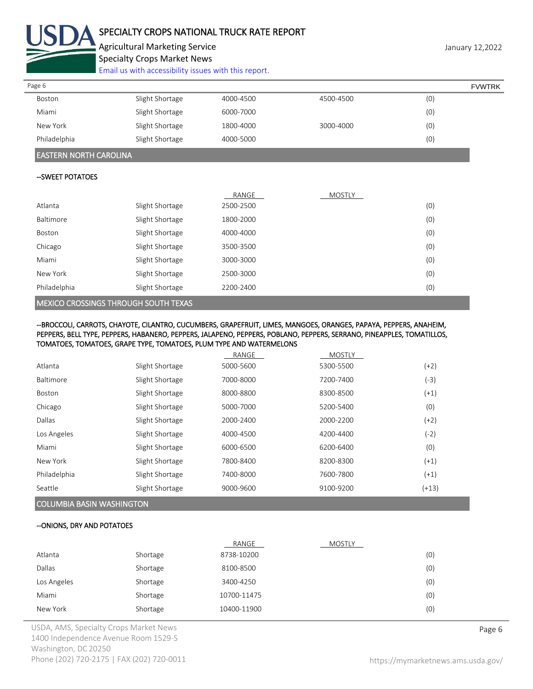

# SPECIALTY CROPS NATIONAL TRUCK RATE REPORT

Agricultural Marketing Service **January 12,2022** 3 anuary 12,2022 Specialty Crops Market News

[Email us with accessibility issues with this report.](mailto:mars@ams.usda.gov?subject=508%20Inquiry/Report)

| Page 6       |                 |           |           |     | <b>FVWTRK</b> |
|--------------|-----------------|-----------|-----------|-----|---------------|
| Boston       | Slight Shortage | 4000-4500 | 4500-4500 | (0) |               |
| Miami        | Slight Shortage | 6000-7000 |           | (0) |               |
| New York     | Slight Shortage | 1800-4000 | 3000-4000 | (0) |               |
| Philadelphia | Slight Shortage | 4000-5000 |           | (0) |               |

# EASTERN NORTH CAROLINA

# --SWEET POTATOES

|              |                 | RANGE     | <b>MOSTLY</b> |     |
|--------------|-----------------|-----------|---------------|-----|
| Atlanta      | Slight Shortage | 2500-2500 |               | (0) |
| Baltimore    | Slight Shortage | 1800-2000 |               | (0) |
| Boston       | Slight Shortage | 4000-4000 |               | (0) |
| Chicago      | Slight Shortage | 3500-3500 |               | (0) |
| Miami        | Slight Shortage | 3000-3000 |               | (0) |
| New York     | Slight Shortage | 2500-3000 |               | (0) |
| Philadelphia | Slight Shortage | 2200-2400 |               | (0) |

# MEXICO CROSSINGS THROUGH SOUTH TEXAS

--BROCCOLI, CARROTS, CHAYOTE, CILANTRO, CUCUMBERS, GRAPEFRUIT, LIMES, MANGOES, ORANGES, PAPAYA, PEPPERS, ANAHEIM, PEPPERS, BELL TYPE, PEPPERS, HABANERO, PEPPERS, JALAPENO, PEPPERS, POBLANO, PEPPERS, SERRANO, PINEAPPLES, TOMATILLOS, TOMATOES, TOMATOES, GRAPE TYPE, TOMATOES, PLUM TYPE AND WATERMELONS

|               |                 | RANGE     | <b>MOSTLY</b> |         |
|---------------|-----------------|-----------|---------------|---------|
| Atlanta       | Slight Shortage | 5000-5600 | 5300-5500     | $(+2)$  |
| Baltimore     | Slight Shortage | 7000-8000 | 7200-7400     | (-3)    |
| <b>Boston</b> | Slight Shortage | 8000-8800 | 8300-8500     | $(+1)$  |
| Chicago       | Slight Shortage | 5000-7000 | 5200-5400     | (0)     |
| Dallas        | Slight Shortage | 2000-2400 | 2000-2200     | $(+2)$  |
| Los Angeles   | Slight Shortage | 4000-4500 | 4200-4400     | (-2)    |
| Miami         | Slight Shortage | 6000-6500 | 6200-6400     | (0)     |
| New York      | Slight Shortage | 7800-8400 | 8200-8300     | $(+1)$  |
| Philadelphia  | Slight Shortage | 7400-8000 | 7600-7800     | $(+1)$  |
| Seattle       | Slight Shortage | 9000-9600 | 9100-9200     | $(+13)$ |

# COLUMBIA BASIN WASHINGTON

### --ONIONS, DRY AND POTATOES

|             |          | RANGE       | MOSTLY |     |
|-------------|----------|-------------|--------|-----|
| Atlanta     | Shortage | 8738-10200  |        | (0) |
| Dallas      | Shortage | 8100-8500   |        | (0) |
| Los Angeles | Shortage | 3400-4250   |        | (0) |
| Miami       | Shortage | 10700-11475 |        | (0) |
| New York    | Shortage | 10400-11900 |        | (0) |

USDA, AMS, Specialty Crops Market News **Page 6** 1400 Independence Avenue Room 1529-S Washington, DC 20250 Phone (202) 720-2175 | FAX (202) 720-0011 <https://mymarketnews.ams.usda.gov/>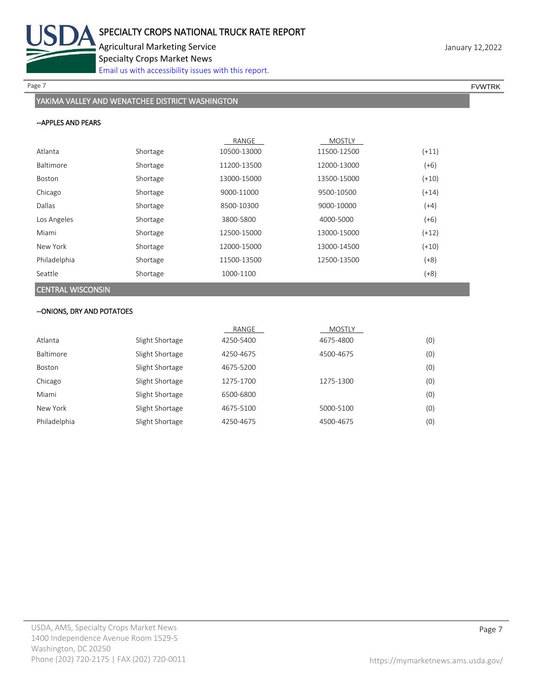

Page 7 FOUNTRK And the set of the set of the set of the set of the set of the set of the set of the set of the set of the set of the set of the set of the set of the set of the set of the set of the set of the set of the s

# YAKIMA VALLEY AND WENATCHEE DISTRICT WASHINGTON

## --APPLES AND PEARS

|                          |          | RANGE       | <b>MOSTLY</b> |         |
|--------------------------|----------|-------------|---------------|---------|
| Atlanta                  | Shortage | 10500-13000 | 11500-12500   | $(+11)$ |
| <b>Baltimore</b>         | Shortage | 11200-13500 | 12000-13000   | $(+6)$  |
| Boston                   | Shortage | 13000-15000 | 13500-15000   | $(+10)$ |
| Chicago                  | Shortage | 9000-11000  | 9500-10500    | $(+14)$ |
| Dallas                   | Shortage | 8500-10300  | 9000-10000    | $(+4)$  |
| Los Angeles              | Shortage | 3800-5800   | 4000-5000     | $(+6)$  |
| Miami                    | Shortage | 12500-15000 | 13000-15000   | $(+12)$ |
| New York                 | Shortage | 12000-15000 | 13000-14500   | $(+10)$ |
| Philadelphia             | Shortage | 11500-13500 | 12500-13500   | $(+8)$  |
| Seattle                  | Shortage | 1000-1100   |               | $(+8)$  |
| <b>CENTRAL WISCONSIN</b> |          |             |               |         |

### --ONIONS, DRY AND POTATOES

|              |                 | RANGE     | MOSTLY    |     |
|--------------|-----------------|-----------|-----------|-----|
| Atlanta      | Slight Shortage | 4250-5400 | 4675-4800 | (0) |
| Baltimore    | Slight Shortage | 4250-4675 | 4500-4675 | (0) |
| Boston       | Slight Shortage | 4675-5200 |           | (0) |
| Chicago      | Slight Shortage | 1275-1700 | 1275-1300 | (0) |
| Miami        | Slight Shortage | 6500-6800 |           | (0) |
| New York     | Slight Shortage | 4675-5100 | 5000-5100 | (0) |
| Philadelphia | Slight Shortage | 4250-4675 | 4500-4675 | (0) |